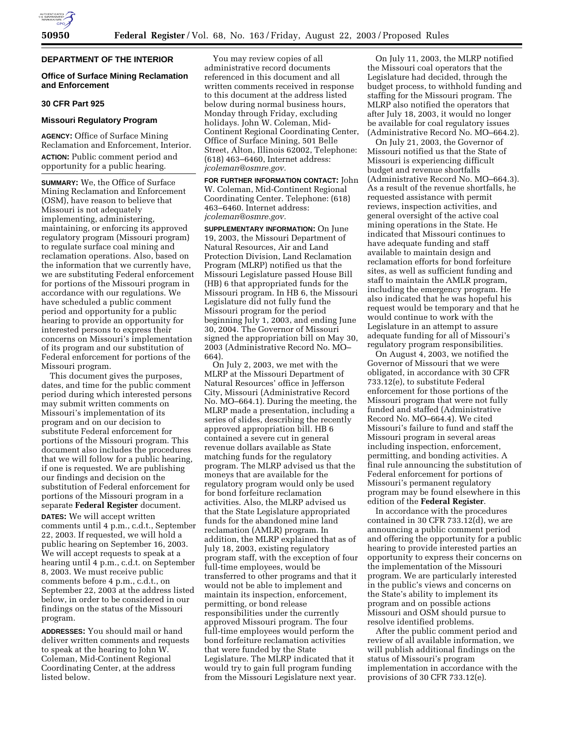

# **DEPARTMENT OF THE INTERIOR**

# **Office of Surface Mining Reclamation and Enforcement**

## **30 CFR Part 925**

# **Missouri Regulatory Program**

**AGENCY:** Office of Surface Mining Reclamation and Enforcement, Interior. **ACTION:** Public comment period and opportunity for a public hearing.

**SUMMARY:** We, the Office of Surface Mining Reclamation and Enforcement (OSM), have reason to believe that Missouri is not adequately implementing, administering, maintaining, or enforcing its approved regulatory program (Missouri program) to regulate surface coal mining and reclamation operations. Also, based on the information that we currently have, we are substituting Federal enforcement for portions of the Missouri program in accordance with our regulations. We have scheduled a public comment period and opportunity for a public hearing to provide an opportunity for interested persons to express their concerns on Missouri's implementation of its program and our substitution of Federal enforcement for portions of the Missouri program.

This document gives the purposes, dates, and time for the public comment period during which interested persons may submit written comments on Missouri's implementation of its program and on our decision to substitute Federal enforcement for portions of the Missouri program. This document also includes the procedures that we will follow for a public hearing, if one is requested. We are publishing our findings and decision on the substitution of Federal enforcement for portions of the Missouri program in a separate **Federal Register** document.

**DATES:** We will accept written comments until 4 p.m., c.d.t., September 22, 2003. If requested, we will hold a public hearing on September 16, 2003. We will accept requests to speak at a hearing until 4 p.m., c.d.t. on September 8, 2003. We must receive public comments before 4 p.m., c.d.t., on September 22, 2003 at the address listed below, in order to be considered in our findings on the status of the Missouri program.

**ADDRESSES:** You should mail or hand deliver written comments and requests to speak at the hearing to John W. Coleman, Mid-Continent Regional Coordinating Center, at the address listed below.

You may review copies of all administrative record documents referenced in this document and all written comments received in response to this document at the address listed below during normal business hours, Monday through Friday, excluding holidays. John W. Coleman, Mid-Continent Regional Coordinating Center, Office of Surface Mining, 501 Belle Street, Alton, Illinois 62002, Telephone: (618) 463–6460, Internet address: *jcoleman@osmre.gov.*

**FOR FURTHER INFORMATION CONTACT:** John W. Coleman, Mid-Continent Regional Coordinating Center. Telephone: (618) 463–6460. Internet address: *jcoleman@osmre.gov.*

**SUPPLEMENTARY INFORMATION:** On June 19, 2003, the Missouri Department of Natural Resources, Air and Land Protection Division, Land Reclamation Program (MLRP) notified us that the Missouri Legislature passed House Bill (HB) 6 that appropriated funds for the Missouri program. In HB 6, the Missouri Legislature did not fully fund the Missouri program for the period beginning July 1, 2003, and ending June 30, 2004. The Governor of Missouri signed the appropriation bill on May 30, 2003 (Administrative Record No. MO– 664).

On July 2, 2003, we met with the MLRP at the Missouri Department of Natural Resources' office in Jefferson City, Missouri (Administrative Record No. MO–664.1). During the meeting, the MLRP made a presentation, including a series of slides, describing the recently approved appropriation bill. HB 6 contained a severe cut in general revenue dollars available as State matching funds for the regulatory program. The MLRP advised us that the moneys that are available for the regulatory program would only be used for bond forfeiture reclamation activities. Also, the MLRP advised us that the State Legislature appropriated funds for the abandoned mine land reclamation (AMLR) program. In addition, the MLRP explained that as of July 18, 2003, existing regulatory program staff, with the exception of four full-time employees, would be transferred to other programs and that it would not be able to implement and maintain its inspection, enforcement, permitting, or bond release responsibilities under the currently approved Missouri program. The four full-time employees would perform the bond forfeiture reclamation activities that were funded by the State Legislature. The MLRP indicated that it would try to gain full program funding from the Missouri Legislature next year.

On July 11, 2003, the MLRP notified the Missouri coal operators that the Legislature had decided, through the budget process, to withhold funding and staffing for the Missouri program. The MLRP also notified the operators that after July 18, 2003, it would no longer be available for coal regulatory issues (Administrative Record No. MO–664.2).

On July 21, 2003, the Governor of Missouri notified us that the State of Missouri is experiencing difficult budget and revenue shortfalls (Administrative Record No. MO–664.3). As a result of the revenue shortfalls, he requested assistance with permit reviews, inspection activities, and general oversight of the active coal mining operations in the State. He indicated that Missouri continues to have adequate funding and staff available to maintain design and reclamation efforts for bond forfeiture sites, as well as sufficient funding and staff to maintain the AMLR program, including the emergency program. He also indicated that he was hopeful his request would be temporary and that he would continue to work with the Legislature in an attempt to assure adequate funding for all of Missouri's regulatory program responsibilities.

On August 4, 2003, we notified the Governor of Missouri that we were obligated, in accordance with 30 CFR 733.12(e), to substitute Federal enforcement for those portions of the Missouri program that were not fully funded and staffed (Administrative Record No. MO–664.4). We cited Missouri's failure to fund and staff the Missouri program in several areas including inspection, enforcement, permitting, and bonding activities. A final rule announcing the substitution of Federal enforcement for portions of Missouri's permanent regulatory program may be found elsewhere in this edition of the **Federal Register**.

In accordance with the procedures contained in 30 CFR 733.12(d), we are announcing a public comment period and offering the opportunity for a public hearing to provide interested parties an opportunity to express their concerns on the implementation of the Missouri program. We are particularly interested in the public's views and concerns on the State's ability to implement its program and on possible actions Missouri and OSM should pursue to resolve identified problems.

After the public comment period and review of all available information, we will publish additional findings on the status of Missouri's program implementation in accordance with the provisions of 30 CFR 733.12(e).